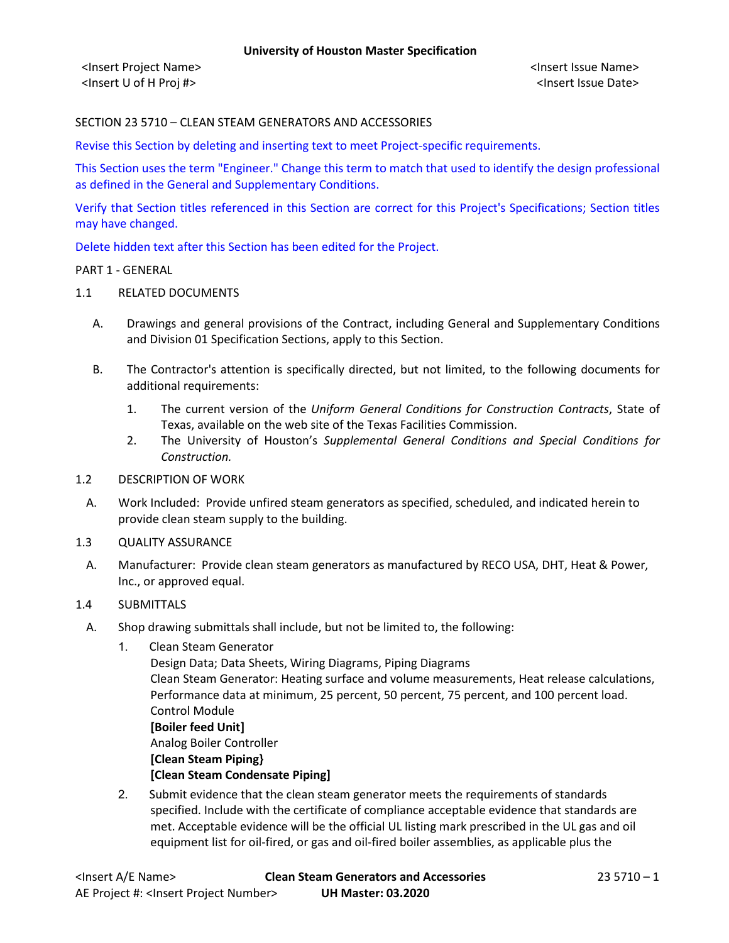<Insert Project Name> <Insert Issue Name> <Insert U of H Proj #> <Insert Issue Date>

### SECTION 23 5710 – CLEAN STEAM GENERATORS AND ACCESSORIES

Revise this Section by deleting and inserting text to meet Project-specific requirements.

This Section uses the term "Engineer." Change this term to match that used to identify the design professional as defined in the General and Supplementary Conditions.

Verify that Section titles referenced in this Section are correct for this Project's Specifications; Section titles may have changed.

Delete hidden text after this Section has been edited for the Project.

#### PART 1 - GENERAL

#### 1.1 RELATED DOCUMENTS

- A. Drawings and general provisions of the Contract, including General and Supplementary Conditions and Division 01 Specification Sections, apply to this Section.
- B. The Contractor's attention is specifically directed, but not limited, to the following documents for additional requirements:
	- 1. The current version of the *Uniform General Conditions for Construction Contracts*, State of Texas, available on the web site of the Texas Facilities Commission.
	- 2. The University of Houston's *Supplemental General Conditions and Special Conditions for Construction.*
- 1.2 DESCRIPTION OF WORK
- A. Work Included: Provide unfired steam generators as specified, scheduled, and indicated herein to provide clean steam supply to the building.
- 1.3 QUALITY ASSURANCE
- A. Manufacturer: Provide clean steam generators as manufactured by RECO USA, DHT, Heat & Power, Inc., or approved equal.

#### 1.4 SUBMITTALS

- A. Shop drawing submittals shall include, but not be limited to, the following:
	- 1. Clean Steam Generator

Design Data; Data Sheets, Wiring Diagrams, Piping Diagrams Clean Steam Generator: Heating surface and volume measurements, Heat release calculations, Performance data at minimum, 25 percent, 50 percent, 75 percent, and 100 percent load. Control Module **[Boiler feed Unit]** Analog Boiler Controller **[Clean Steam Piping} [Clean Steam Condensate Piping]**

2. Submit evidence that the clean steam generator meets the requirements of standards specified. Include with the certificate of compliance acceptable evidence that standards are met. Acceptable evidence will be the official UL listing mark prescribed in the UL gas and oil equipment list for oil-fired, or gas and oil-fired boiler assemblies, as applicable plus the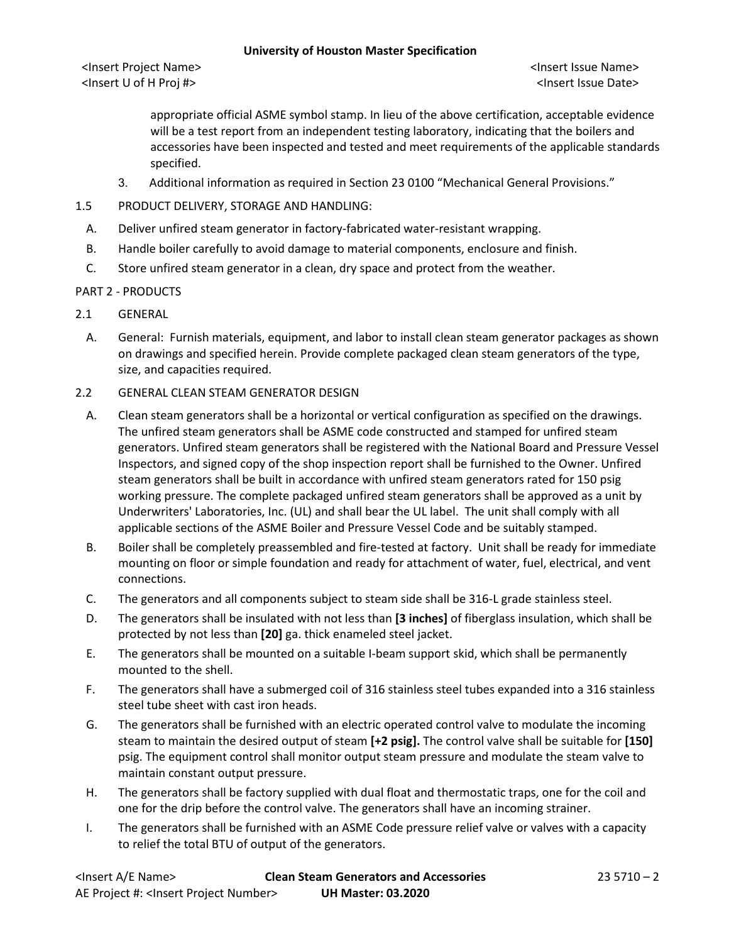<Insert Project Name> <Insert Issue Name> <Insert U of H Proj #> <Insert Issue Date>

appropriate official ASME symbol stamp. In lieu of the above certification, acceptable evidence will be a test report from an independent testing laboratory, indicating that the boilers and accessories have been inspected and tested and meet requirements of the applicable standards specified.

- 3. Additional information as required in Section 23 0100 "Mechanical General Provisions."
- 1.5 PRODUCT DELIVERY, STORAGE AND HANDLING:
- A. Deliver unfired steam generator in factory-fabricated water-resistant wrapping.
- B. Handle boiler carefully to avoid damage to material components, enclosure and finish.
- C. Store unfired steam generator in a clean, dry space and protect from the weather.

### PART 2 - PRODUCTS

- 2.1 GENERAL
- A. General: Furnish materials, equipment, and labor to install clean steam generator packages as shown on drawings and specified herein. Provide complete packaged clean steam generators of the type, size, and capacities required.

## 2.2 GENERAL CLEAN STEAM GENERATOR DESIGN

- A. Clean steam generators shall be a horizontal or vertical configuration as specified on the drawings. The unfired steam generators shall be ASME code constructed and stamped for unfired steam generators. Unfired steam generators shall be registered with the National Board and Pressure Vessel Inspectors, and signed copy of the shop inspection report shall be furnished to the Owner. Unfired steam generators shall be built in accordance with unfired steam generators rated for 150 psig working pressure. The complete packaged unfired steam generators shall be approved as a unit by Underwriters' Laboratories, Inc. (UL) and shall bear the UL label. The unit shall comply with all applicable sections of the ASME Boiler and Pressure Vessel Code and be suitably stamped.
- B. Boiler shall be completely preassembled and fire-tested at factory. Unit shall be ready for immediate mounting on floor or simple foundation and ready for attachment of water, fuel, electrical, and vent connections.
- C. The generators and all components subject to steam side shall be 316-L grade stainless steel.
- D. The generators shall be insulated with not less than **[3 inches]** of fiberglass insulation, which shall be protected by not less than **[20]** ga. thick enameled steel jacket.
- E. The generators shall be mounted on a suitable I-beam support skid, which shall be permanently mounted to the shell.
- F. The generators shall have a submerged coil of 316 stainless steel tubes expanded into a 316 stainless steel tube sheet with cast iron heads.
- G. The generators shall be furnished with an electric operated control valve to modulate the incoming steam to maintain the desired output of steam **[+2 psig].** The control valve shall be suitable for **[150]** psig. The equipment control shall monitor output steam pressure and modulate the steam valve to maintain constant output pressure.
- H. The generators shall be factory supplied with dual float and thermostatic traps, one for the coil and one for the drip before the control valve. The generators shall have an incoming strainer.
- I. The generators shall be furnished with an ASME Code pressure relief valve or valves with a capacity to relief the total BTU of output of the generators.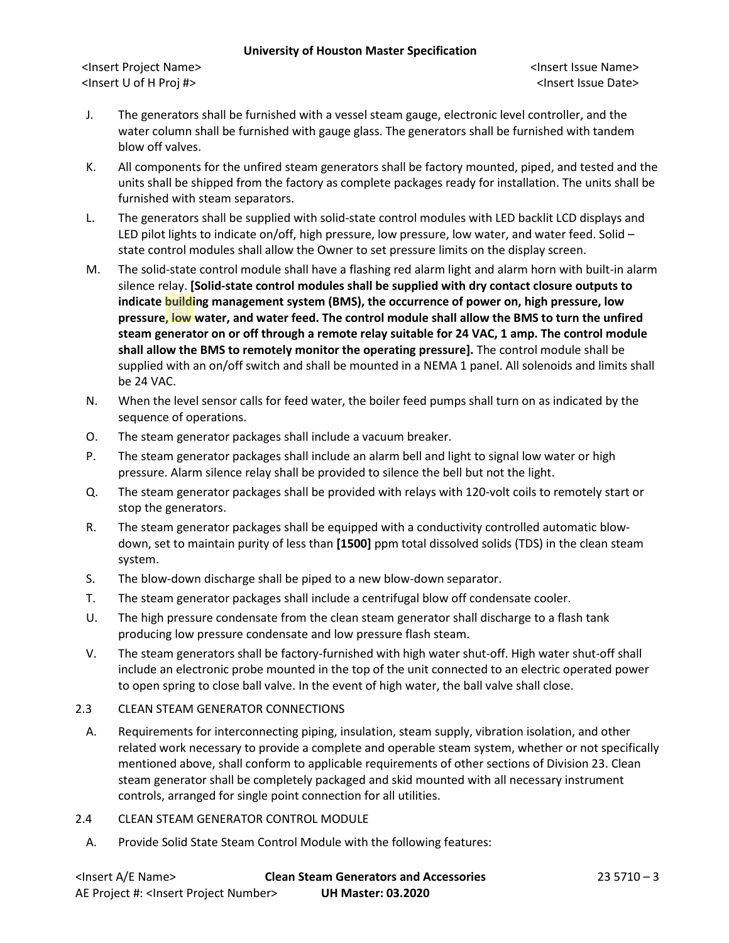<Insert Project Name> <Insert Issue Name> <Insert U of H Proj #> <Insert Issue Date>

- J. The generators shall be furnished with a vessel steam gauge, electronic level controller, and the water column shall be furnished with gauge glass. The generators shall be furnished with tandem blow off valves.
- K. All components for the unfired steam generators shall be factory mounted, piped, and tested and the units shall be shipped from the factory as complete packages ready for installation. The units shall be furnished with steam separators.
- L. The generators shall be supplied with solid-state control modules with LED backlit LCD displays and LED pilot lights to indicate on/off, high pressure, low pressure, low water, and water feed. Solid state control modules shall allow the Owner to set pressure limits on the display screen.
- M. The solid-state control module shall have a flashing red alarm light and alarm horn with built-in alarm silence relay. **[Solid-state control modules shall be supplied with dry contact closure outputs to indicate building management system (BMS), the occurrence of power on, high pressure, low pressure, low water, and water feed. The control module shall allow the BMS to turn the unfired steam generator on or off through a remote relay suitable for 24 VAC, 1 amp. The control module shall allow the BMS to remotely monitor the operating pressure].** The control module shall be supplied with an on/off switch and shall be mounted in a NEMA 1 panel. All solenoids and limits shall be 24 VAC.
- N. When the level sensor calls for feed water, the boiler feed pumps shall turn on as indicated by the sequence of operations.
- O. The steam generator packages shall include a vacuum breaker.
- P. The steam generator packages shall include an alarm bell and light to signal low water or high pressure. Alarm silence relay shall be provided to silence the bell but not the light.
- Q. The steam generator packages shall be provided with relays with 120-volt coils to remotely start or stop the generators.
- R. The steam generator packages shall be equipped with a conductivity controlled automatic blowdown, set to maintain purity of less than **[1500]** ppm total dissolved solids (TDS) in the clean steam system.
- S. The blow-down discharge shall be piped to a new blow-down separator.
- T. The steam generator packages shall include a centrifugal blow off condensate cooler.
- U. The high pressure condensate from the clean steam generator shall discharge to a flash tank producing low pressure condensate and low pressure flash steam.
- V. The steam generators shall be factory-furnished with high water shut-off. High water shut-off shall include an electronic probe mounted in the top of the unit connected to an electric operated power to open spring to close ball valve. In the event of high water, the ball valve shall close.

## 2.3 CLEAN STEAM GENERATOR CONNECTIONS

- A. Requirements for interconnecting piping, insulation, steam supply, vibration isolation, and other related work necessary to provide a complete and operable steam system, whether or not specifically mentioned above, shall conform to applicable requirements of other sections of Division 23. Clean steam generator shall be completely packaged and skid mounted with all necessary instrument controls, arranged for single point connection for all utilities.
- 2.4 CLEAN STEAM GENERATOR CONTROL MODULE
	- A. Provide Solid State Steam Control Module with the following features: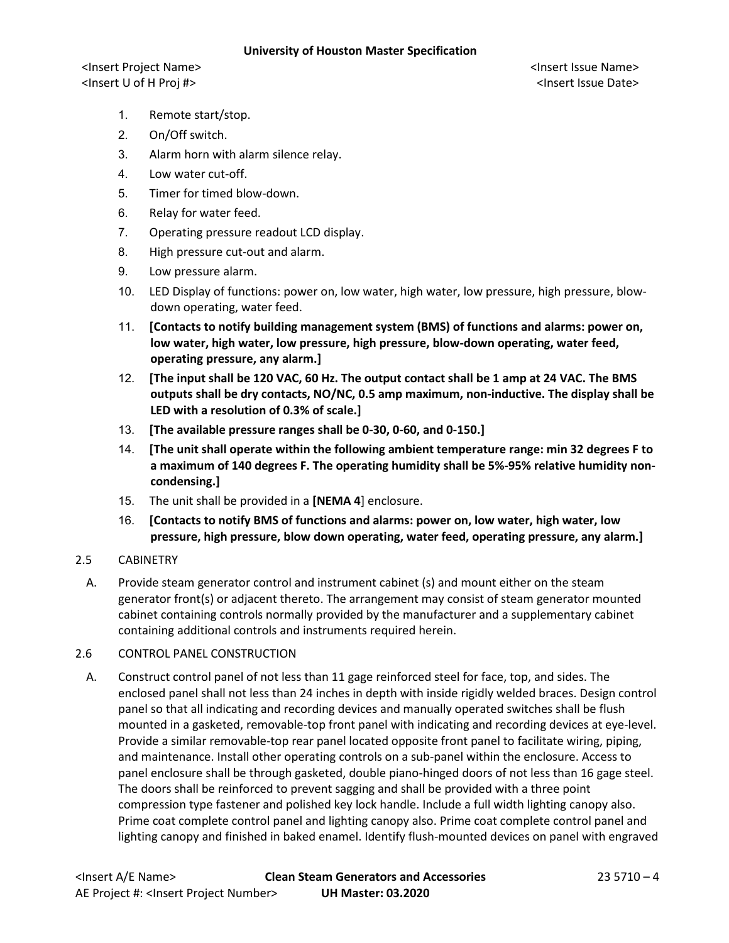<Insert Project Name> <Insert Issue Name> <Insert U of H Proj #> <Insert Issue Date>

- 1. Remote start/stop.
- 2. On/Off switch.
- 3. Alarm horn with alarm silence relay.
- 4. Low water cut-off.
- 5. Timer for timed blow-down.
- 6. Relay for water feed.
- 7. Operating pressure readout LCD display.
- 8. High pressure cut-out and alarm.
- 9. Low pressure alarm.
- 10. LED Display of functions: power on, low water, high water, low pressure, high pressure, blowdown operating, water feed.
- 11. **[Contacts to notify building management system (BMS) of functions and alarms: power on, low water, high water, low pressure, high pressure, blow-down operating, water feed, operating pressure, any alarm.]**
- 12. **[The input shall be 120 VAC, 60 Hz. The output contact shall be 1 amp at 24 VAC. The BMS outputs shall be dry contacts, NO/NC, 0.5 amp maximum, non-inductive. The display shall be LED with a resolution of 0.3% of scale.]**
- 13. **[The available pressure ranges shall be 0-30, 0-60, and 0-150.]**
- 14. **[The unit shall operate within the following ambient temperature range: min 32 degrees F to a maximum of 140 degrees F. The operating humidity shall be 5%-95% relative humidity noncondensing.]**
- 15. The unit shall be provided in a **[NEMA 4**] enclosure.
- 16. **[Contacts to notify BMS of functions and alarms: power on, low water, high water, low pressure, high pressure, blow down operating, water feed, operating pressure, any alarm.]**
- 2.5 CABINETRY
- A. Provide steam generator control and instrument cabinet (s) and mount either on the steam generator front(s) or adjacent thereto. The arrangement may consist of steam generator mounted cabinet containing controls normally provided by the manufacturer and a supplementary cabinet containing additional controls and instruments required herein.

### 2.6 CONTROL PANEL CONSTRUCTION

A. Construct control panel of not less than 11 gage reinforced steel for face, top, and sides. The enclosed panel shall not less than 24 inches in depth with inside rigidly welded braces. Design control panel so that all indicating and recording devices and manually operated switches shall be flush mounted in a gasketed, removable-top front panel with indicating and recording devices at eye-level. Provide a similar removable-top rear panel located opposite front panel to facilitate wiring, piping, and maintenance. Install other operating controls on a sub-panel within the enclosure. Access to panel enclosure shall be through gasketed, double piano-hinged doors of not less than 16 gage steel. The doors shall be reinforced to prevent sagging and shall be provided with a three point compression type fastener and polished key lock handle. Include a full width lighting canopy also. Prime coat complete control panel and lighting canopy also. Prime coat complete control panel and lighting canopy and finished in baked enamel. Identify flush-mounted devices on panel with engraved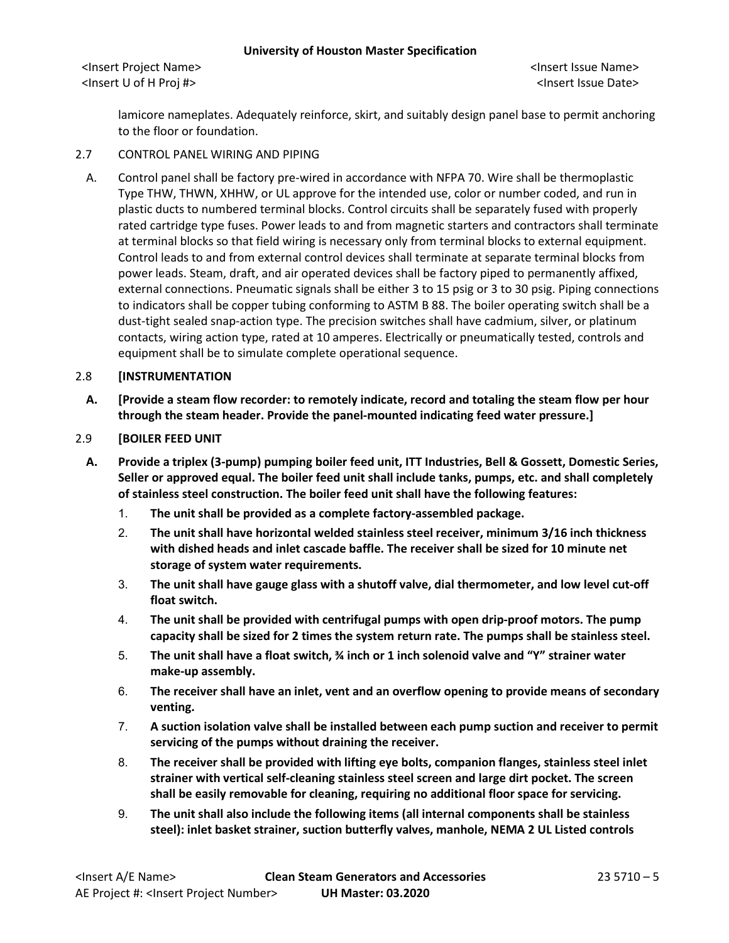<Insert Project Name> <Insert Issue Name> <Insert U of H Proj #> <Insert Issue Date>

lamicore nameplates. Adequately reinforce, skirt, and suitably design panel base to permit anchoring to the floor or foundation.

### 2.7 CONTROL PANEL WIRING AND PIPING

A. Control panel shall be factory pre-wired in accordance with NFPA 70. Wire shall be thermoplastic Type THW, THWN, XHHW, or UL approve for the intended use, color or number coded, and run in plastic ducts to numbered terminal blocks. Control circuits shall be separately fused with properly rated cartridge type fuses. Power leads to and from magnetic starters and contractors shall terminate at terminal blocks so that field wiring is necessary only from terminal blocks to external equipment. Control leads to and from external control devices shall terminate at separate terminal blocks from power leads. Steam, draft, and air operated devices shall be factory piped to permanently affixed, external connections. Pneumatic signals shall be either 3 to 15 psig or 3 to 30 psig. Piping connections to indicators shall be copper tubing conforming to ASTM B 88. The boiler operating switch shall be a dust-tight sealed snap-action type. The precision switches shall have cadmium, silver, or platinum contacts, wiring action type, rated at 10 amperes. Electrically or pneumatically tested, controls and equipment shall be to simulate complete operational sequence.

### 2.8 **[INSTRUMENTATION**

**A. [Provide a steam flow recorder: to remotely indicate, record and totaling the steam flow per hour through the steam header. Provide the panel-mounted indicating feed water pressure.]**

## 2.9 **[BOILER FEED UNIT**

- **A. Provide a triplex (3-pump) pumping boiler feed unit, ITT Industries, Bell & Gossett, Domestic Series, Seller or approved equal. The boiler feed unit shall include tanks, pumps, etc. and shall completely of stainless steel construction. The boiler feed unit shall have the following features:**
	- 1. **The unit shall be provided as a complete factory-assembled package.**
	- 2. **The unit shall have horizontal welded stainless steel receiver, minimum 3/16 inch thickness with dished heads and inlet cascade baffle. The receiver shall be sized for 10 minute net storage of system water requirements.**
	- 3. **The unit shall have gauge glass with a shutoff valve, dial thermometer, and low level cut-off float switch.**
	- 4. **The unit shall be provided with centrifugal pumps with open drip-proof motors. The pump capacity shall be sized for 2 times the system return rate. The pumps shall be stainless steel.**
	- 5. **The unit shall have a float switch, ¾ inch or 1 inch solenoid valve and "Y" strainer water make-up assembly.**
	- 6. **The receiver shall have an inlet, vent and an overflow opening to provide means of secondary venting.**
	- 7. **A suction isolation valve shall be installed between each pump suction and receiver to permit servicing of the pumps without draining the receiver.**
	- 8. **The receiver shall be provided with lifting eye bolts, companion flanges, stainless steel inlet strainer with vertical self-cleaning stainless steel screen and large dirt pocket. The screen shall be easily removable for cleaning, requiring no additional floor space for servicing.**
	- 9. **The unit shall also include the following items (all internal components shall be stainless steel): inlet basket strainer, suction butterfly valves, manhole, NEMA 2 UL Listed controls**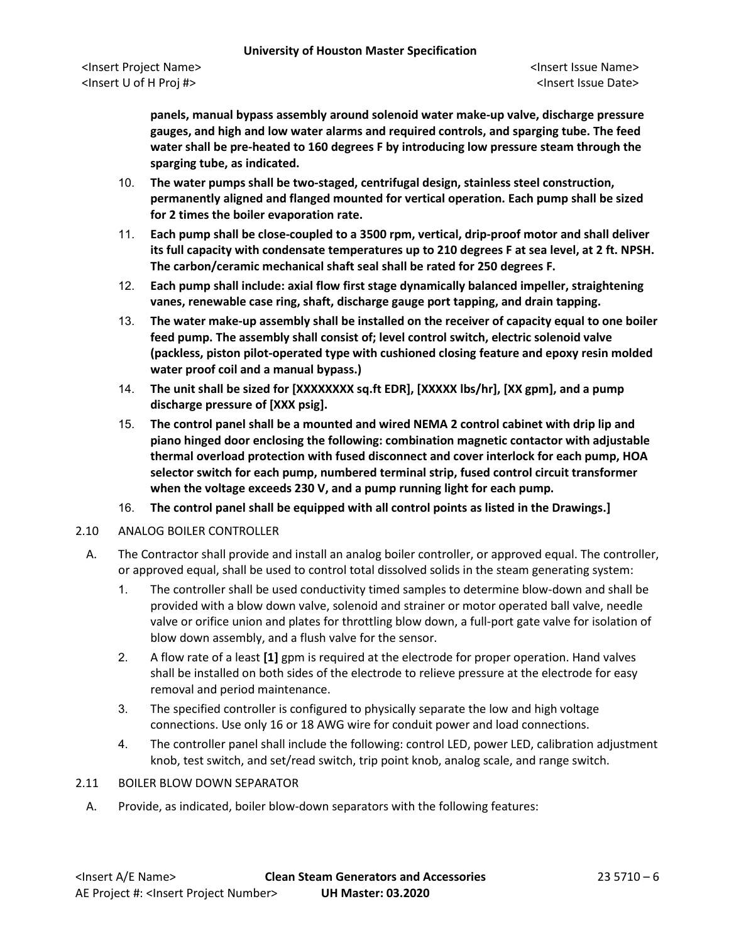**panels, manual bypass assembly around solenoid water make-up valve, discharge pressure gauges, and high and low water alarms and required controls, and sparging tube. The feed water shall be pre-heated to 160 degrees F by introducing low pressure steam through the sparging tube, as indicated.**

- 10. **The water pumps shall be two-staged, centrifugal design, stainless steel construction, permanently aligned and flanged mounted for vertical operation. Each pump shall be sized for 2 times the boiler evaporation rate.**
- 11. **Each pump shall be close-coupled to a 3500 rpm, vertical, drip-proof motor and shall deliver its full capacity with condensate temperatures up to 210 degrees F at sea level, at 2 ft. NPSH. The carbon/ceramic mechanical shaft seal shall be rated for 250 degrees F.**
- 12. **Each pump shall include: axial flow first stage dynamically balanced impeller, straightening vanes, renewable case ring, shaft, discharge gauge port tapping, and drain tapping.**
- 13. **The water make-up assembly shall be installed on the receiver of capacity equal to one boiler feed pump. The assembly shall consist of; level control switch, electric solenoid valve (packless, piston pilot-operated type with cushioned closing feature and epoxy resin molded water proof coil and a manual bypass.)**
- 14. **The unit shall be sized for [XXXXXXXX sq.ft EDR], [XXXXX lbs/hr], [XX gpm], and a pump discharge pressure of [XXX psig].**
- 15. **The control panel shall be a mounted and wired NEMA 2 control cabinet with drip lip and piano hinged door enclosing the following: combination magnetic contactor with adjustable thermal overload protection with fused disconnect and cover interlock for each pump, HOA selector switch for each pump, numbered terminal strip, fused control circuit transformer when the voltage exceeds 230 V, and a pump running light for each pump.**
- 16. **The control panel shall be equipped with all control points as listed in the Drawings.]**
- 2.10 ANALOG BOILER CONTROLLER
	- A. The Contractor shall provide and install an analog boiler controller, or approved equal. The controller, or approved equal, shall be used to control total dissolved solids in the steam generating system:
		- 1. The controller shall be used conductivity timed samples to determine blow-down and shall be provided with a blow down valve, solenoid and strainer or motor operated ball valve, needle valve or orifice union and plates for throttling blow down, a full-port gate valve for isolation of blow down assembly, and a flush valve for the sensor.
		- 2. A flow rate of a least **[1]** gpm is required at the electrode for proper operation. Hand valves shall be installed on both sides of the electrode to relieve pressure at the electrode for easy removal and period maintenance.
		- 3. The specified controller is configured to physically separate the low and high voltage connections. Use only 16 or 18 AWG wire for conduit power and load connections.
		- 4. The controller panel shall include the following: control LED, power LED, calibration adjustment knob, test switch, and set/read switch, trip point knob, analog scale, and range switch.

#### 2.11 BOILER BLOW DOWN SEPARATOR

A. Provide, as indicated, boiler blow-down separators with the following features: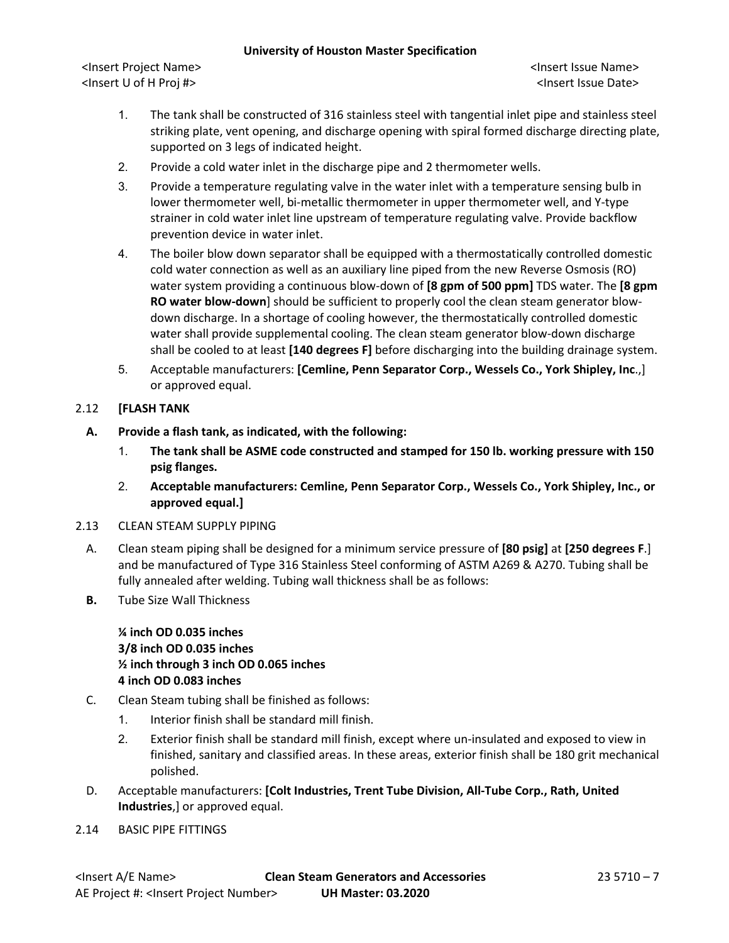<Insert Project Name> <Insert Issue Name> <Insert U of H Proj #> <Insert Issue Date>

- 1. The tank shall be constructed of 316 stainless steel with tangential inlet pipe and stainless steel striking plate, vent opening, and discharge opening with spiral formed discharge directing plate, supported on 3 legs of indicated height.
- 2. Provide a cold water inlet in the discharge pipe and 2 thermometer wells.
- 3. Provide a temperature regulating valve in the water inlet with a temperature sensing bulb in lower thermometer well, bi-metallic thermometer in upper thermometer well, and Y-type strainer in cold water inlet line upstream of temperature regulating valve. Provide backflow prevention device in water inlet.
- 4. The boiler blow down separator shall be equipped with a thermostatically controlled domestic cold water connection as well as an auxiliary line piped from the new Reverse Osmosis (RO) water system providing a continuous blow-down of **[8 gpm of 500 ppm]** TDS water. The **[8 gpm RO water blow-down**] should be sufficient to properly cool the clean steam generator blowdown discharge. In a shortage of cooling however, the thermostatically controlled domestic water shall provide supplemental cooling. The clean steam generator blow-down discharge shall be cooled to at least **[140 degrees F]** before discharging into the building drainage system.
- 5. Acceptable manufacturers: **[Cemline, Penn Separator Corp., Wessels Co., York Shipley, Inc**.,] or approved equal.

# 2.12 **[FLASH TANK**

- **A. Provide a flash tank, as indicated, with the following:**
	- 1. **The tank shall be ASME code constructed and stamped for 150 lb. working pressure with 150 psig flanges.**
	- 2. **Acceptable manufacturers: Cemline, Penn Separator Corp., Wessels Co., York Shipley, Inc., or approved equal.]**
- 2.13 CLEAN STEAM SUPPLY PIPING
	- A. Clean steam piping shall be designed for a minimum service pressure of **[80 psig]** at **[250 degrees F**.] and be manufactured of Type 316 Stainless Steel conforming of ASTM A269 & A270. Tubing shall be fully annealed after welding. Tubing wall thickness shall be as follows:
	- **B.** Tube Size Wall Thickness

**¼ inch OD 0.035 inches 3/8 inch OD 0.035 inches ½ inch through 3 inch OD 0.065 inches 4 inch OD 0.083 inches**

- C. Clean Steam tubing shall be finished as follows:
	- 1. Interior finish shall be standard mill finish.
	- 2. Exterior finish shall be standard mill finish, except where un-insulated and exposed to view in finished, sanitary and classified areas. In these areas, exterior finish shall be 180 grit mechanical polished.
- D. Acceptable manufacturers: **[Colt Industries, Trent Tube Division, All-Tube Corp., Rath, United Industries**,] or approved equal.
- 2.14 BASIC PIPE FITTINGS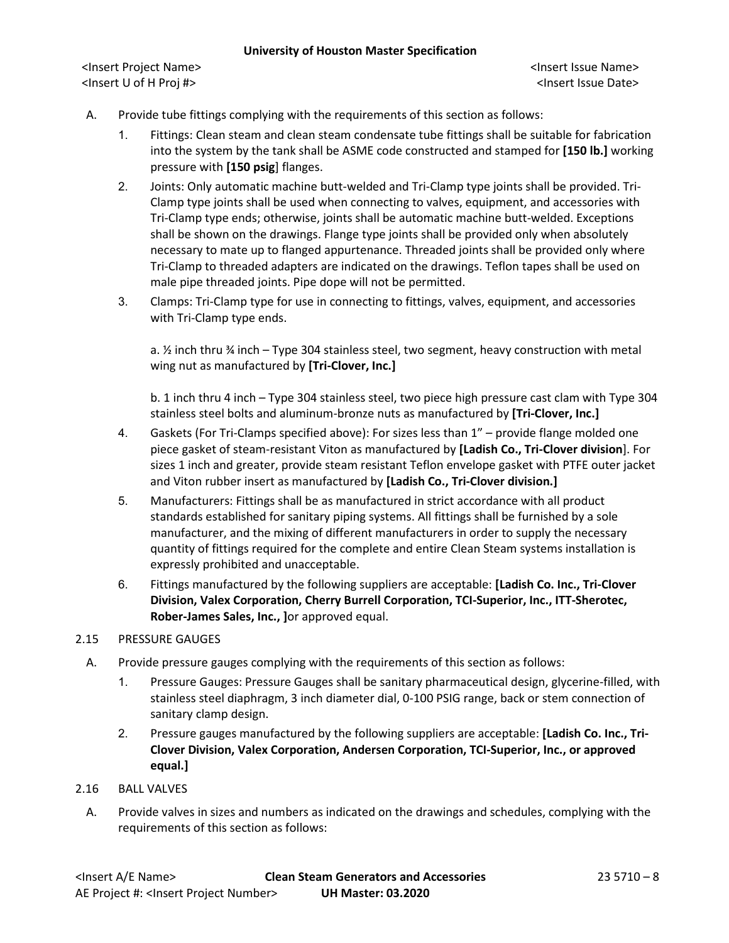<Insert Project Name> <Insert Issue Name> <Insert U of H Proj #> <Insert Issue Date>

- A. Provide tube fittings complying with the requirements of this section as follows:
	- 1. Fittings: Clean steam and clean steam condensate tube fittings shall be suitable for fabrication into the system by the tank shall be ASME code constructed and stamped for **[150 lb.]** working pressure with **[150 psig**] flanges.
	- 2. Joints: Only automatic machine butt-welded and Tri-Clamp type joints shall be provided. Tri-Clamp type joints shall be used when connecting to valves, equipment, and accessories with Tri-Clamp type ends; otherwise, joints shall be automatic machine butt-welded. Exceptions shall be shown on the drawings. Flange type joints shall be provided only when absolutely necessary to mate up to flanged appurtenance. Threaded joints shall be provided only where Tri-Clamp to threaded adapters are indicated on the drawings. Teflon tapes shall be used on male pipe threaded joints. Pipe dope will not be permitted.
	- 3. Clamps: Tri-Clamp type for use in connecting to fittings, valves, equipment, and accessories with Tri-Clamp type ends.

a. ½ inch thru ¾ inch – Type 304 stainless steel, two segment, heavy construction with metal wing nut as manufactured by **[Tri-Clover, Inc.]**

b. 1 inch thru 4 inch – Type 304 stainless steel, two piece high pressure cast clam with Type 304 stainless steel bolts and aluminum-bronze nuts as manufactured by **[Tri-Clover, Inc.]**

- 4. Gaskets (For Tri-Clamps specified above): For sizes less than 1" provide flange molded one piece gasket of steam-resistant Viton as manufactured by **[Ladish Co., Tri-Clover division**]. For sizes 1 inch and greater, provide steam resistant Teflon envelope gasket with PTFE outer jacket and Viton rubber insert as manufactured by **[Ladish Co., Tri-Clover division.]**
- 5. Manufacturers: Fittings shall be as manufactured in strict accordance with all product standards established for sanitary piping systems. All fittings shall be furnished by a sole manufacturer, and the mixing of different manufacturers in order to supply the necessary quantity of fittings required for the complete and entire Clean Steam systems installation is expressly prohibited and unacceptable.
- 6. Fittings manufactured by the following suppliers are acceptable: **[Ladish Co. Inc., Tri-Clover Division, Valex Corporation, Cherry Burrell Corporation, TCI-Superior, Inc., ITT-Sherotec, Rober-James Sales, Inc., ]**or approved equal.

## 2.15 PRESSURE GAUGES

- A. Provide pressure gauges complying with the requirements of this section as follows:
	- 1. Pressure Gauges: Pressure Gauges shall be sanitary pharmaceutical design, glycerine-filled, with stainless steel diaphragm, 3 inch diameter dial, 0-100 PSIG range, back or stem connection of sanitary clamp design.
	- 2. Pressure gauges manufactured by the following suppliers are acceptable: **[Ladish Co. Inc., Tri-Clover Division, Valex Corporation, Andersen Corporation, TCI-Superior, Inc., or approved equal.]**

### 2.16 BALL VALVES

A. Provide valves in sizes and numbers as indicated on the drawings and schedules, complying with the requirements of this section as follows: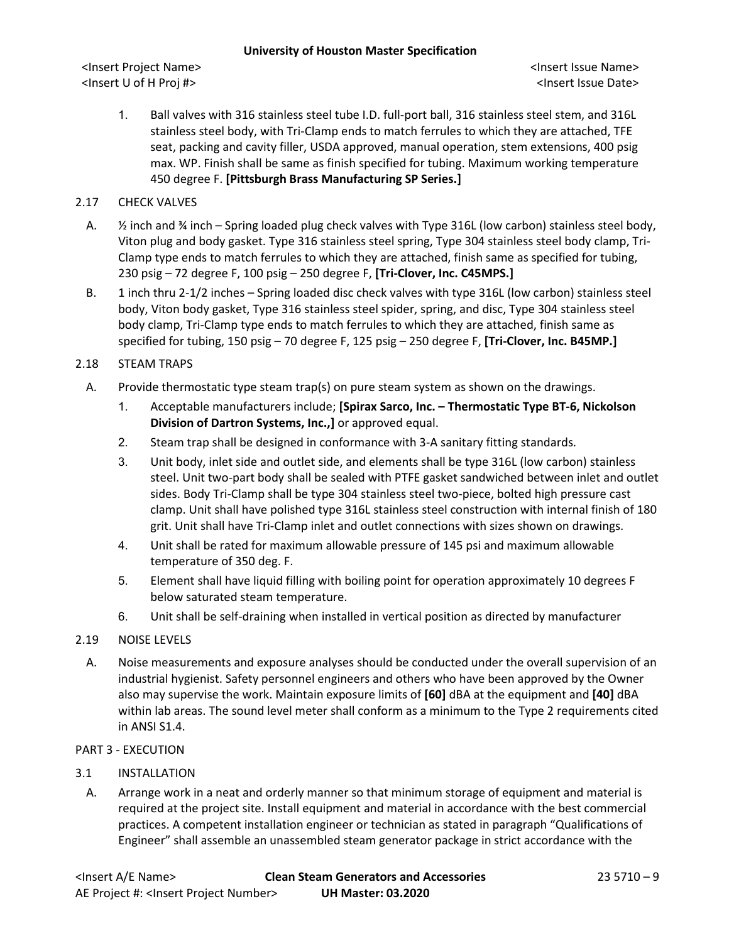<Insert Project Name> <Insert Issue Name> <Insert U of H Proj #> <Insert Issue Date>

1. Ball valves with 316 stainless steel tube I.D. full-port ball, 316 stainless steel stem, and 316L stainless steel body, with Tri-Clamp ends to match ferrules to which they are attached, TFE seat, packing and cavity filler, USDA approved, manual operation, stem extensions, 400 psig max. WP. Finish shall be same as finish specified for tubing. Maximum working temperature 450 degree F. **[Pittsburgh Brass Manufacturing SP Series.]**

## 2.17 CHECK VALVES

- A.  $\frac{1}{2}$  inch and  $\frac{3}{4}$  inch Spring loaded plug check valves with Type 316L (low carbon) stainless steel body, Viton plug and body gasket. Type 316 stainless steel spring, Type 304 stainless steel body clamp, Tri-Clamp type ends to match ferrules to which they are attached, finish same as specified for tubing, 230 psig – 72 degree F, 100 psig – 250 degree F, **[Tri-Clover, Inc. C45MPS.]**
- B. 1 inch thru 2-1/2 inches Spring loaded disc check valves with type 316L (low carbon) stainless steel body, Viton body gasket, Type 316 stainless steel spider, spring, and disc, Type 304 stainless steel body clamp, Tri-Clamp type ends to match ferrules to which they are attached, finish same as specified for tubing, 150 psig – 70 degree F, 125 psig – 250 degree F, **[Tri-Clover, Inc. B45MP.]**

# 2.18 STEAM TRAPS

- A. Provide thermostatic type steam trap(s) on pure steam system as shown on the drawings.
	- 1. Acceptable manufacturers include; **[Spirax Sarco, Inc. – Thermostatic Type BT-6, Nickolson Division of Dartron Systems, Inc.,]** or approved equal.
	- 2. Steam trap shall be designed in conformance with 3-A sanitary fitting standards.
	- 3. Unit body, inlet side and outlet side, and elements shall be type 316L (low carbon) stainless steel. Unit two-part body shall be sealed with PTFE gasket sandwiched between inlet and outlet sides. Body Tri-Clamp shall be type 304 stainless steel two-piece, bolted high pressure cast clamp. Unit shall have polished type 316L stainless steel construction with internal finish of 180 grit. Unit shall have Tri-Clamp inlet and outlet connections with sizes shown on drawings.
	- 4. Unit shall be rated for maximum allowable pressure of 145 psi and maximum allowable temperature of 350 deg. F.
	- 5. Element shall have liquid filling with boiling point for operation approximately 10 degrees F below saturated steam temperature.
	- 6. Unit shall be self-draining when installed in vertical position as directed by manufacturer

## 2.19 NOISE LEVELS

A. Noise measurements and exposure analyses should be conducted under the overall supervision of an industrial hygienist. Safety personnel engineers and others who have been approved by the Owner also may supervise the work. Maintain exposure limits of **[60]** dBA at the equipment and **[40]** dBA within lab areas. The sound level meter shall conform as a minimum to the Type 2 requirements cited in ANSI S1.4.

## PART 3 - EXECUTION

## 3.1 INSTALLATION

A. Arrange work in a neat and orderly manner so that minimum storage of equipment and material is required at the project site. Install equipment and material in accordance with the best commercial practices. A competent installation engineer or technician as stated in paragraph "Qualifications of Engineer" shall assemble an unassembled steam generator package in strict accordance with the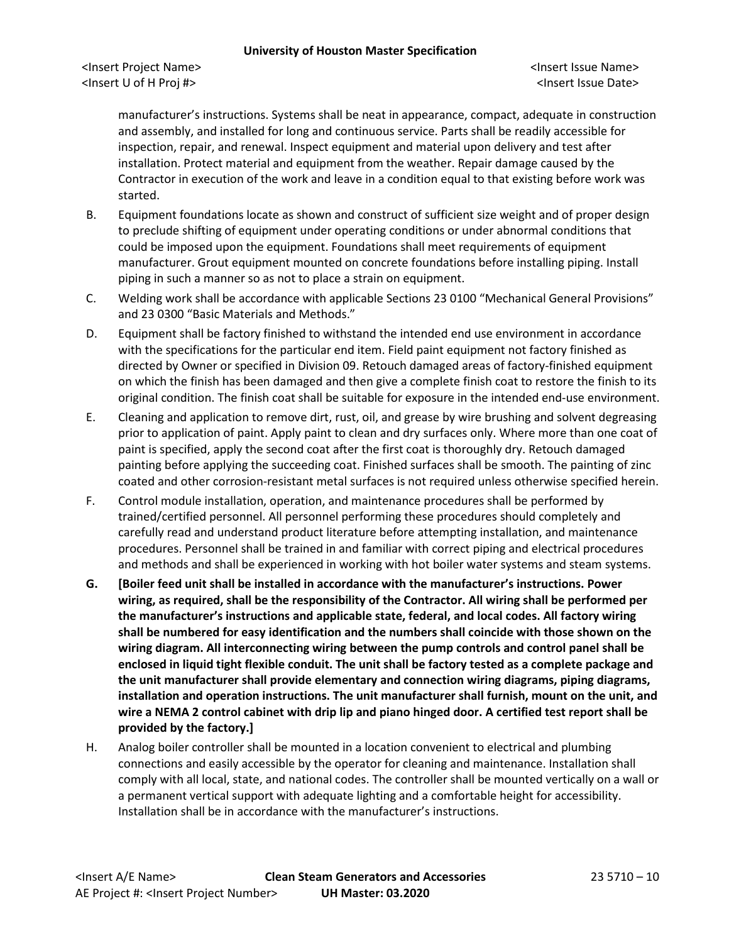<Insert Project Name> <Insert Issue Name> <Insert U of H Proj #> <Insert Issue Date>

manufacturer's instructions. Systems shall be neat in appearance, compact, adequate in construction and assembly, and installed for long and continuous service. Parts shall be readily accessible for inspection, repair, and renewal. Inspect equipment and material upon delivery and test after installation. Protect material and equipment from the weather. Repair damage caused by the Contractor in execution of the work and leave in a condition equal to that existing before work was started.

- B. Equipment foundations locate as shown and construct of sufficient size weight and of proper design to preclude shifting of equipment under operating conditions or under abnormal conditions that could be imposed upon the equipment. Foundations shall meet requirements of equipment manufacturer. Grout equipment mounted on concrete foundations before installing piping. Install piping in such a manner so as not to place a strain on equipment.
- C. Welding work shall be accordance with applicable Sections 23 0100 "Mechanical General Provisions" and 23 0300 "Basic Materials and Methods."
- D. Equipment shall be factory finished to withstand the intended end use environment in accordance with the specifications for the particular end item. Field paint equipment not factory finished as directed by Owner or specified in Division 09. Retouch damaged areas of factory-finished equipment on which the finish has been damaged and then give a complete finish coat to restore the finish to its original condition. The finish coat shall be suitable for exposure in the intended end-use environment.
- E. Cleaning and application to remove dirt, rust, oil, and grease by wire brushing and solvent degreasing prior to application of paint. Apply paint to clean and dry surfaces only. Where more than one coat of paint is specified, apply the second coat after the first coat is thoroughly dry. Retouch damaged painting before applying the succeeding coat. Finished surfaces shall be smooth. The painting of zinc coated and other corrosion-resistant metal surfaces is not required unless otherwise specified herein.
- F. Control module installation, operation, and maintenance procedures shall be performed by trained/certified personnel. All personnel performing these procedures should completely and carefully read and understand product literature before attempting installation, and maintenance procedures. Personnel shall be trained in and familiar with correct piping and electrical procedures and methods and shall be experienced in working with hot boiler water systems and steam systems.
- **G. [Boiler feed unit shall be installed in accordance with the manufacturer's instructions. Power wiring, as required, shall be the responsibility of the Contractor. All wiring shall be performed per the manufacturer's instructions and applicable state, federal, and local codes. All factory wiring shall be numbered for easy identification and the numbers shall coincide with those shown on the wiring diagram. All interconnecting wiring between the pump controls and control panel shall be enclosed in liquid tight flexible conduit. The unit shall be factory tested as a complete package and the unit manufacturer shall provide elementary and connection wiring diagrams, piping diagrams, installation and operation instructions. The unit manufacturer shall furnish, mount on the unit, and wire a NEMA 2 control cabinet with drip lip and piano hinged door. A certified test report shall be provided by the factory.]**
- H. Analog boiler controller shall be mounted in a location convenient to electrical and plumbing connections and easily accessible by the operator for cleaning and maintenance. Installation shall comply with all local, state, and national codes. The controller shall be mounted vertically on a wall or a permanent vertical support with adequate lighting and a comfortable height for accessibility. Installation shall be in accordance with the manufacturer's instructions.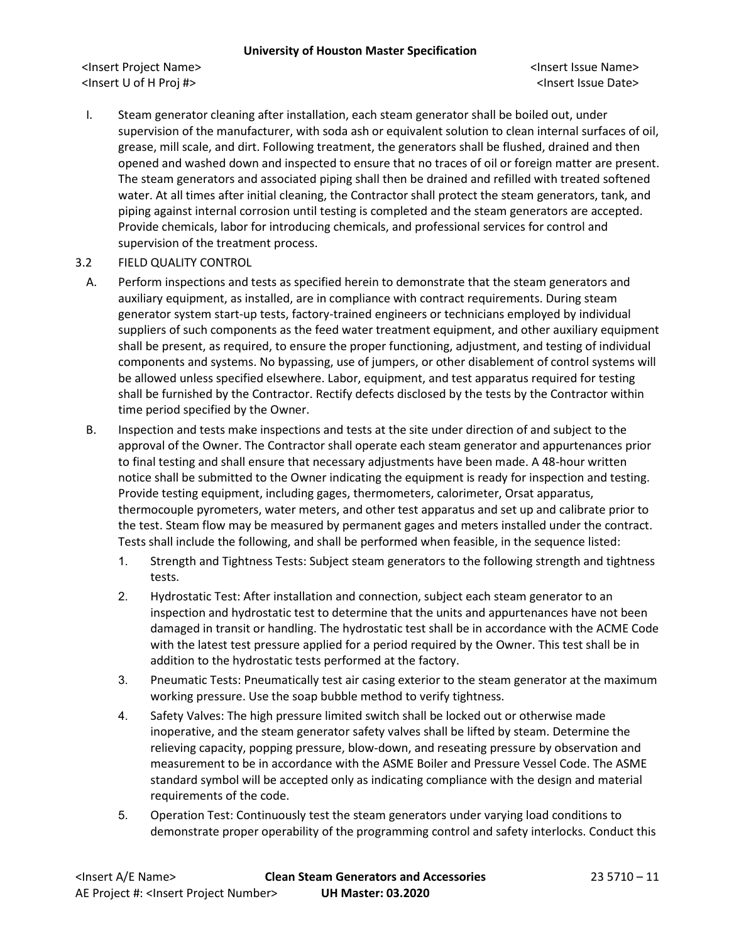<Insert Project Name> <Insert Issue Name> <Insert U of H Proj #> <Insert Issue Date>

I. Steam generator cleaning after installation, each steam generator shall be boiled out, under supervision of the manufacturer, with soda ash or equivalent solution to clean internal surfaces of oil, grease, mill scale, and dirt. Following treatment, the generators shall be flushed, drained and then opened and washed down and inspected to ensure that no traces of oil or foreign matter are present. The steam generators and associated piping shall then be drained and refilled with treated softened water. At all times after initial cleaning, the Contractor shall protect the steam generators, tank, and piping against internal corrosion until testing is completed and the steam generators are accepted. Provide chemicals, labor for introducing chemicals, and professional services for control and supervision of the treatment process.

### 3.2 FIELD QUALITY CONTROL

- A. Perform inspections and tests as specified herein to demonstrate that the steam generators and auxiliary equipment, as installed, are in compliance with contract requirements. During steam generator system start-up tests, factory-trained engineers or technicians employed by individual suppliers of such components as the feed water treatment equipment, and other auxiliary equipment shall be present, as required, to ensure the proper functioning, adjustment, and testing of individual components and systems. No bypassing, use of jumpers, or other disablement of control systems will be allowed unless specified elsewhere. Labor, equipment, and test apparatus required for testing shall be furnished by the Contractor. Rectify defects disclosed by the tests by the Contractor within time period specified by the Owner.
- B. Inspection and tests make inspections and tests at the site under direction of and subject to the approval of the Owner. The Contractor shall operate each steam generator and appurtenances prior to final testing and shall ensure that necessary adjustments have been made. A 48-hour written notice shall be submitted to the Owner indicating the equipment is ready for inspection and testing. Provide testing equipment, including gages, thermometers, calorimeter, Orsat apparatus, thermocouple pyrometers, water meters, and other test apparatus and set up and calibrate prior to the test. Steam flow may be measured by permanent gages and meters installed under the contract. Tests shall include the following, and shall be performed when feasible, in the sequence listed:
	- 1. Strength and Tightness Tests: Subject steam generators to the following strength and tightness tests.
	- 2. Hydrostatic Test: After installation and connection, subject each steam generator to an inspection and hydrostatic test to determine that the units and appurtenances have not been damaged in transit or handling. The hydrostatic test shall be in accordance with the ACME Code with the latest test pressure applied for a period required by the Owner. This test shall be in addition to the hydrostatic tests performed at the factory.
	- 3. Pneumatic Tests: Pneumatically test air casing exterior to the steam generator at the maximum working pressure. Use the soap bubble method to verify tightness.
	- 4. Safety Valves: The high pressure limited switch shall be locked out or otherwise made inoperative, and the steam generator safety valves shall be lifted by steam. Determine the relieving capacity, popping pressure, blow-down, and reseating pressure by observation and measurement to be in accordance with the ASME Boiler and Pressure Vessel Code. The ASME standard symbol will be accepted only as indicating compliance with the design and material requirements of the code.
	- 5. Operation Test: Continuously test the steam generators under varying load conditions to demonstrate proper operability of the programming control and safety interlocks. Conduct this